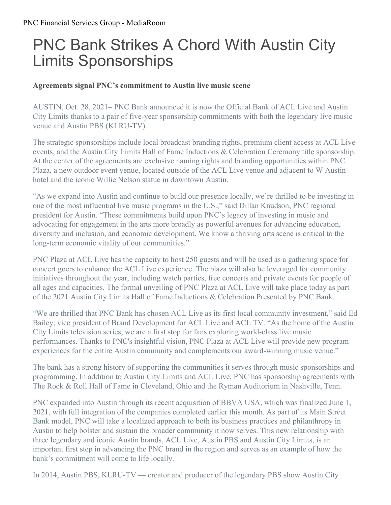## PNC Bank Strikes A Chord With Austin City Limits Sponsorships

## **Agreements signal PNC's commitment to Austin live music scene**

AUSTIN, Oct. 28, 2021– PNC Bank announced it is now the Official Bank of ACL Live and Austin City Limits thanks to a pair of five-year sponsorship commitments with both the legendary live music venue and Austin PBS (KLRU-TV).

The strategic sponsorships include local broadcast branding rights, premium client access at ACL Live events, and the Austin City Limits Hall of Fame Inductions & Celebration Ceremony title sponsorship. At the center of the agreements are exclusive naming rights and branding opportunities within PNC Plaza, a new outdoor event venue, located outside of the ACL Live venue and adjacent to W Austin hotel and the iconic Willie Nelson statue in downtown Austin.

"As we expand into Austin and continue to build our presence locally, we're thrilled to be investing in one of the most influential live music programs in the U.S.," said Dillan Knudson, PNC regional president for Austin. "These commitments build upon PNC's legacy of investing in music and advocating for engagement in the arts more broadly as powerful avenues for advancing education, diversity and inclusion, and economic development. We know a thriving arts scene is critical to the long-term economic vitality of our communities."

PNC Plaza at ACL Live has the capacity to host 250 guests and will be used as a gathering space for concert goers to enhance the ACL Live experience. The plaza will also be leveraged for community initiatives throughout the year, including watch parties, free concerts and private events for people of all ages and capacities. The formal unveiling of PNC Plaza at ACL Live will take place today as part of the 2021 Austin City Limits Hall of Fame Inductions & Celebration Presented by PNC Bank.

"We are thrilled that PNC Bank has chosen ACL Live as its first local community investment," said Ed Bailey, vice president of Brand Development for ACL Live and ACL TV. "As the home of the Austin City Limits television series, we are a first stop for fans exploring world-class live music performances. Thanks to PNC's insightful vision, PNC Plaza at ACL Live will provide new program experiences for the entire Austin community and complements our award-winning music venue."

The bank has a strong history of supporting the communities it serves through music sponsorships and programming. In addition to Austin City Limits and ACL Live, PNC has sponsorship agreements with The Rock & Roll Hall of Fame in Cleveland, Ohio and the Ryman Auditorium in Nashville, Tenn.

PNC expanded into Austin through its recent acquisition of BBVA USA, which was finalized June 1, 2021, with full integration of the companies completed earlier this month. As part of its Main Street Bank model, PNC will take a localized approach to both its business practices and philanthropy in Austin to help bolster and sustain the broader community it now serves. This new relationship with three legendary and iconic Austin brands, ACL Live, Austin PBS and Austin City Limits, is an important first step in advancing the PNC brand in the region and serves as an example of how the bank's commitment will come to life locally.

In 2014, Austin PBS, KLRU-TV — creator and producer of the legendary PBS show Austin City